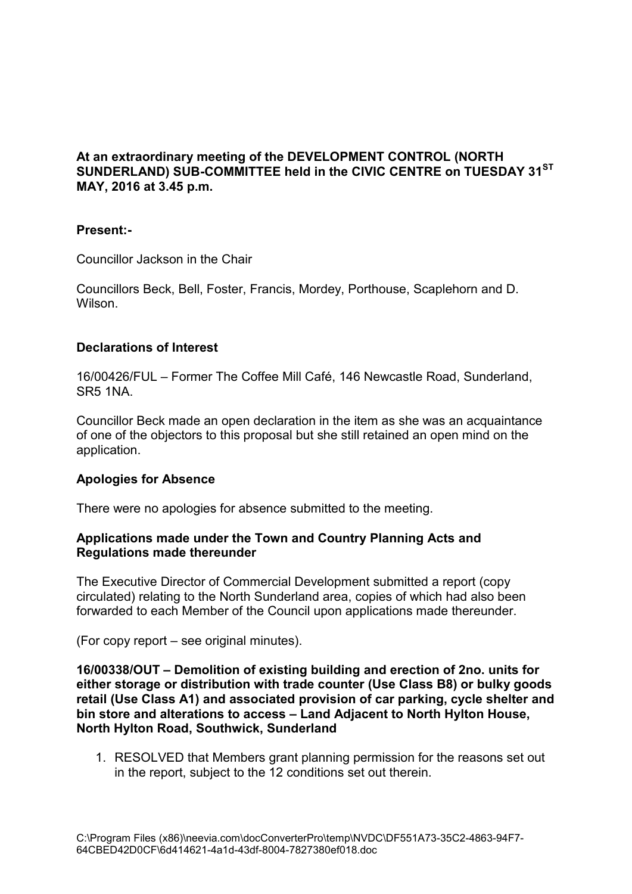# **At an extraordinary meeting of the DEVELOPMENT CONTROL (NORTH SUNDERLAND) SUB-COMMITTEE held in the CIVIC CENTRE on TUESDAY 31ST MAY, 2016 at 3.45 p.m.**

## **Present:-**

Councillor Jackson in the Chair

Councillors Beck, Bell, Foster, Francis, Mordey, Porthouse, Scaplehorn and D. Wilson.

## **Declarations of Interest**

16/00426/FUL – Former The Coffee Mill Café, 146 Newcastle Road, Sunderland, SR5 1NA.

Councillor Beck made an open declaration in the item as she was an acquaintance of one of the objectors to this proposal but she still retained an open mind on the application.

## **Apologies for Absence**

There were no apologies for absence submitted to the meeting.

# **Applications made under the Town and Country Planning Acts and Regulations made thereunder**

The Executive Director of Commercial Development submitted a report (copy circulated) relating to the North Sunderland area, copies of which had also been forwarded to each Member of the Council upon applications made thereunder.

(For copy report – see original minutes).

**16/00338/OUT – Demolition of existing building and erection of 2no. units for either storage or distribution with trade counter (Use Class B8) or bulky goods retail (Use Class A1) and associated provision of car parking, cycle shelter and bin store and alterations to access – Land Adjacent to North Hylton House, North Hylton Road, Southwick, Sunderland** 

1. RESOLVED that Members grant planning permission for the reasons set out in the report, subject to the 12 conditions set out therein.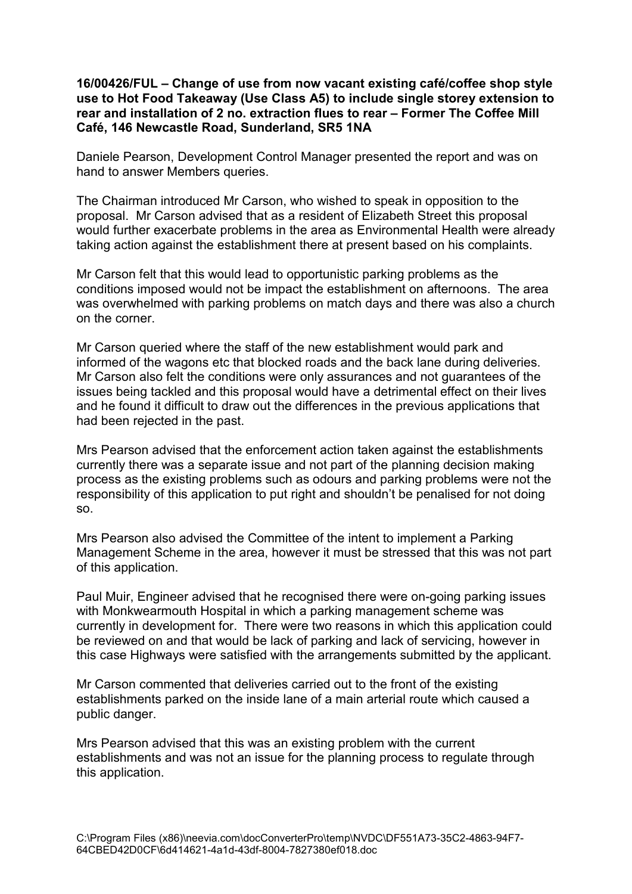#### **16/00426/FUL – Change of use from now vacant existing café/coffee shop style use to Hot Food Takeaway (Use Class A5) to include single storey extension to rear and installation of 2 no. extraction flues to rear – Former The Coffee Mill Café, 146 Newcastle Road, Sunderland, SR5 1NA**

Daniele Pearson, Development Control Manager presented the report and was on hand to answer Members queries.

The Chairman introduced Mr Carson, who wished to speak in opposition to the proposal. Mr Carson advised that as a resident of Elizabeth Street this proposal would further exacerbate problems in the area as Environmental Health were already taking action against the establishment there at present based on his complaints.

Mr Carson felt that this would lead to opportunistic parking problems as the conditions imposed would not be impact the establishment on afternoons. The area was overwhelmed with parking problems on match days and there was also a church on the corner.

Mr Carson queried where the staff of the new establishment would park and informed of the wagons etc that blocked roads and the back lane during deliveries. Mr Carson also felt the conditions were only assurances and not guarantees of the issues being tackled and this proposal would have a detrimental effect on their lives and he found it difficult to draw out the differences in the previous applications that had been rejected in the past.

Mrs Pearson advised that the enforcement action taken against the establishments currently there was a separate issue and not part of the planning decision making process as the existing problems such as odours and parking problems were not the responsibility of this application to put right and shouldn't be penalised for not doing so.

Mrs Pearson also advised the Committee of the intent to implement a Parking Management Scheme in the area, however it must be stressed that this was not part of this application.

Paul Muir, Engineer advised that he recognised there were on-going parking issues with Monkwearmouth Hospital in which a parking management scheme was currently in development for. There were two reasons in which this application could be reviewed on and that would be lack of parking and lack of servicing, however in this case Highways were satisfied with the arrangements submitted by the applicant.

Mr Carson commented that deliveries carried out to the front of the existing establishments parked on the inside lane of a main arterial route which caused a public danger.

Mrs Pearson advised that this was an existing problem with the current establishments and was not an issue for the planning process to regulate through this application.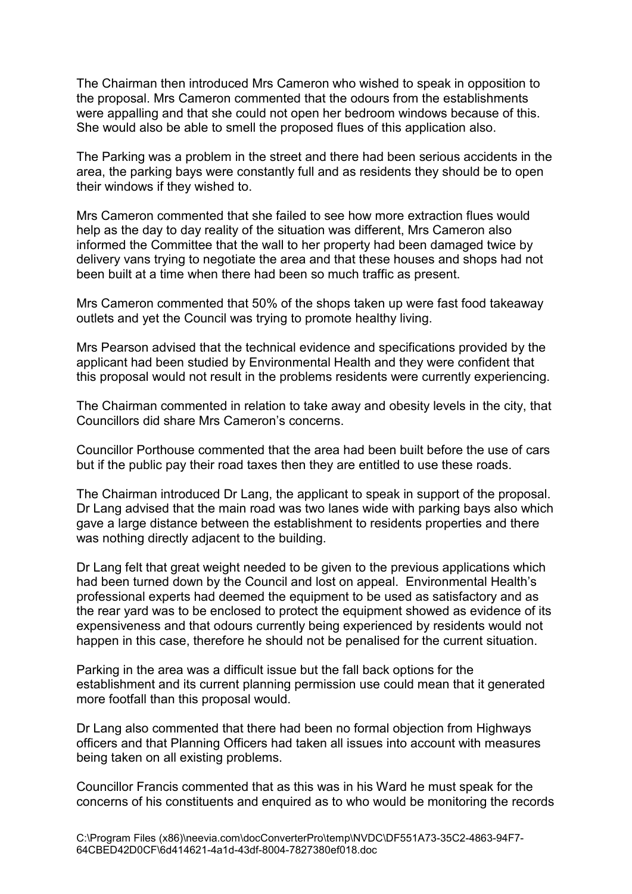The Chairman then introduced Mrs Cameron who wished to speak in opposition to the proposal. Mrs Cameron commented that the odours from the establishments were appalling and that she could not open her bedroom windows because of this. She would also be able to smell the proposed flues of this application also.

The Parking was a problem in the street and there had been serious accidents in the area, the parking bays were constantly full and as residents they should be to open their windows if they wished to.

Mrs Cameron commented that she failed to see how more extraction flues would help as the day to day reality of the situation was different, Mrs Cameron also informed the Committee that the wall to her property had been damaged twice by delivery vans trying to negotiate the area and that these houses and shops had not been built at a time when there had been so much traffic as present.

Mrs Cameron commented that 50% of the shops taken up were fast food takeaway outlets and yet the Council was trying to promote healthy living.

Mrs Pearson advised that the technical evidence and specifications provided by the applicant had been studied by Environmental Health and they were confident that this proposal would not result in the problems residents were currently experiencing.

The Chairman commented in relation to take away and obesity levels in the city, that Councillors did share Mrs Cameron's concerns.

Councillor Porthouse commented that the area had been built before the use of cars but if the public pay their road taxes then they are entitled to use these roads.

The Chairman introduced Dr Lang, the applicant to speak in support of the proposal. Dr Lang advised that the main road was two lanes wide with parking bays also which gave a large distance between the establishment to residents properties and there was nothing directly adjacent to the building.

Dr Lang felt that great weight needed to be given to the previous applications which had been turned down by the Council and lost on appeal. Environmental Health's professional experts had deemed the equipment to be used as satisfactory and as the rear yard was to be enclosed to protect the equipment showed as evidence of its expensiveness and that odours currently being experienced by residents would not happen in this case, therefore he should not be penalised for the current situation.

Parking in the area was a difficult issue but the fall back options for the establishment and its current planning permission use could mean that it generated more footfall than this proposal would.

Dr Lang also commented that there had been no formal objection from Highways officers and that Planning Officers had taken all issues into account with measures being taken on all existing problems.

Councillor Francis commented that as this was in his Ward he must speak for the concerns of his constituents and enquired as to who would be monitoring the records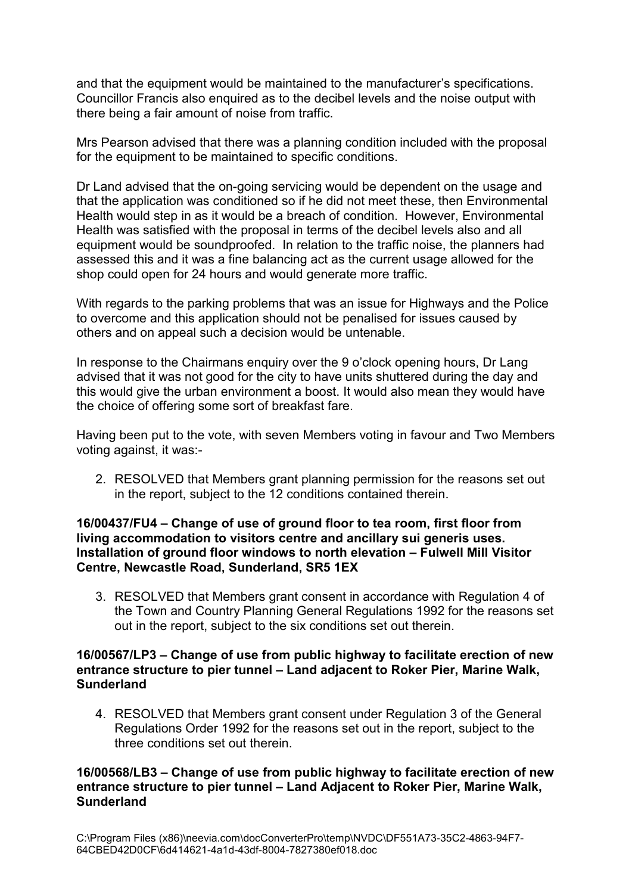and that the equipment would be maintained to the manufacturer's specifications. Councillor Francis also enquired as to the decibel levels and the noise output with there being a fair amount of noise from traffic.

Mrs Pearson advised that there was a planning condition included with the proposal for the equipment to be maintained to specific conditions.

Dr Land advised that the on-going servicing would be dependent on the usage and that the application was conditioned so if he did not meet these, then Environmental Health would step in as it would be a breach of condition. However, Environmental Health was satisfied with the proposal in terms of the decibel levels also and all equipment would be soundproofed. In relation to the traffic noise, the planners had assessed this and it was a fine balancing act as the current usage allowed for the shop could open for 24 hours and would generate more traffic.

With regards to the parking problems that was an issue for Highways and the Police to overcome and this application should not be penalised for issues caused by others and on appeal such a decision would be untenable.

In response to the Chairmans enquiry over the 9 o'clock opening hours, Dr Lang advised that it was not good for the city to have units shuttered during the day and this would give the urban environment a boost. It would also mean they would have the choice of offering some sort of breakfast fare.

Having been put to the vote, with seven Members voting in favour and Two Members voting against, it was:-

2. RESOLVED that Members grant planning permission for the reasons set out in the report, subject to the 12 conditions contained therein.

#### **16/00437/FU4 – Change of use of ground floor to tea room, first floor from living accommodation to visitors centre and ancillary sui generis uses. Installation of ground floor windows to north elevation – Fulwell Mill Visitor Centre, Newcastle Road, Sunderland, SR5 1EX**

3. RESOLVED that Members grant consent in accordance with Regulation 4 of the Town and Country Planning General Regulations 1992 for the reasons set out in the report, subject to the six conditions set out therein.

## **16/00567/LP3 – Change of use from public highway to facilitate erection of new entrance structure to pier tunnel – Land adjacent to Roker Pier, Marine Walk, Sunderland**

4. RESOLVED that Members grant consent under Regulation 3 of the General Regulations Order 1992 for the reasons set out in the report, subject to the three conditions set out therein.

# **16/00568/LB3 – Change of use from public highway to facilitate erection of new entrance structure to pier tunnel – Land Adjacent to Roker Pier, Marine Walk, Sunderland**